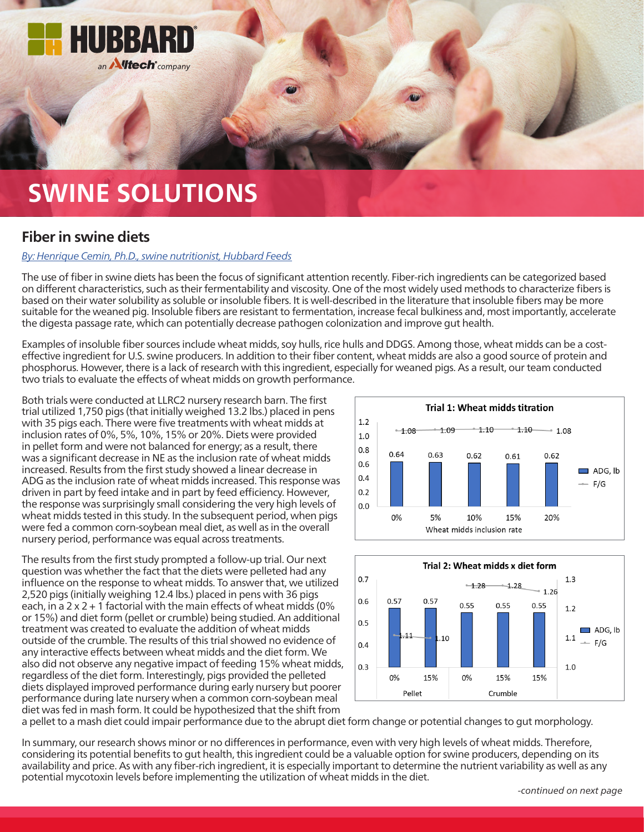

## **SWINE SOLUTIONS**

## **Fiber in swine diets**

## *[By: Henrique Cemin, Ph.D., swine nutritionist, Hubbard Feeds](mailto:swineteam%40hubbardfeeds.com?subject=)*

The use of fiber in swine diets has been the focus of significant attention recently. Fiber-rich ingredients can be categorized based on different characteristics, such as their fermentability and viscosity. One of the most widely used methods to characterize fibers is based on their water solubility as soluble or insoluble fibers. It is well-described in the literature that insoluble fibers may be more suitable for the weaned pig. Insoluble fibers are resistant to fermentation, increase fecal bulkiness and, most importantly, accelerate the digesta passage rate, which can potentially decrease pathogen colonization and improve gut health.

Examples of insoluble fiber sources include wheat midds, soy hulls, rice hulls and DDGS. Among those, wheat midds can be a costeffective ingredient for U.S. swine producers. In addition to their fiber content, wheat midds are also a good source of protein and phosphorus. However, there is a lack of research with this ingredient, especially for weaned pigs. As a result, our team conducted two trials to evaluate the effects of wheat midds on growth performance.

Both trials were conducted at LLRC2 nursery research barn. The first trial utilized 1,750 pigs (that initially weighed 13.2 lbs.) placed in pens with 35 pigs each. There were five treatments with wheat midds at inclusion rates of 0%, 5%, 10%, 15% or 20%. Diets were provided in pellet form and were not balanced for energy; as a result, there was a significant decrease in NE as the inclusion rate of wheat midds increased. Results from the first study showed a linear decrease in ADG as the inclusion rate of wheat midds increased. This response was driven in part by feed intake and in part by feed efficiency. However, the response was surprisingly small considering the very high levels of wheat midds tested in this study. In the subsequent period, when pigs were fed a common corn-soybean meal diet, as well as in the overall nursery period, performance was equal across treatments.

The results from the first study prompted a follow-up trial. Our next question was whether the fact that the diets were pelleted had any influence on the response to wheat midds. To answer that, we utilized 2,520 pigs (initially weighing 12.4 lbs.) placed in pens with 36 pigs each, in a  $2 \times 2 + 1$  factorial with the main effects of wheat midds (0% or 15%) and diet form (pellet or crumble) being studied. An additional treatment was created to evaluate the addition of wheat midds outside of the crumble. The results of this trial showed no evidence of any interactive effects between wheat midds and the diet form. We also did not observe any negative impact of feeding 15% wheat midds, regardless of the diet form. Interestingly, pigs provided the pelleted diets displayed improved performance during early nursery but poorer performance during late nursery when a common corn-soybean meal diet was fed in mash form. It could be hypothesized that the shift from





a pellet to a mash diet could impair performance due to the abrupt diet form change or potential changes to gut morphology.

In summary, our research shows minor or no differences in performance, even with very high levels of wheat midds. Therefore, considering its potential benefits to gut health, this ingredient could be a valuable option for swine producers, depending on its availability and price. As with any fiber-rich ingredient, it is especially important to determine the nutrient variability as well as any potential mycotoxin levels before implementing the utilization of wheat midds in the diet.